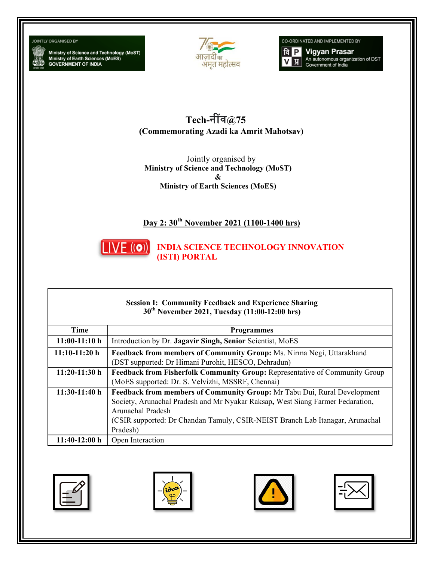#### **JOINTLY ORGANISED BY**

Ministry of Science and Technology (MoST)<br>Ministry of Earth Sciences (MoES)<br>GOVERNMENT OF INDIA



CO-ORDINATED AND IMPLEMENTED BY



 $Tech$ -नींव@75 **(Commemorating Azadi ka Amrit Mahotsav)** 

Jointly organised by **Ministry of Science and Technology (MoST)**  *<u> &*   $\alpha$  *b*  $\alpha$  *d*  $\alpha$  *d*  $\alpha$  *d*  $\alpha$  *d*  $\alpha$  *d*  $\alpha$  *d*  $\alpha$  *d*  $\alpha$  *d*  $\alpha$  *d*  $\alpha$  *d*  $\alpha$  *d*  $\alpha$  *d*  $\alpha$  *d*  $\alpha$  *d*  $\alpha$  *d*  $\alpha$  *d*  $\alpha$  *d*  $\alpha$  *d*  $\alpha$  *d*  $\alpha$  *d*  $\alpha$  *d*  $\alpha$  *d*  $\alpha$  </u> **Ministry of Earth Sciences (MoES)** 

# **Day 2: 30th November 2021 (1100-1400 hrs)**



**INDIA SCIENCE TECHNOLOGY INNOVATION (ISTI) PORTAL**

#### **Session I: Community Feedback and Experience Sharing 30th November 2021, Tuesday (11:00-12:00 hrs)**

| Time            | <b>Programmes</b>                                                              |
|-----------------|--------------------------------------------------------------------------------|
| $11:00-11:10 h$ | Introduction by Dr. Jagavir Singh, Senior Scientist, MoES                      |
| $11:10-11:20h$  | Feedback from members of Community Group: Ms. Nirma Negi, Uttarakhand          |
|                 | (DST supported: Dr Himani Purohit, HESCO, Dehradun)                            |
| $11:20-11:30h$  | Feedback from Fisherfolk Community Group: Representative of Community Group    |
|                 | (MoES supported: Dr. S. Velvizhi, MSSRF, Chennai)                              |
| $11:30-11:40$ h | Feedback from members of Community Group: Mr Tabu Dui, Rural Development       |
|                 | Society, Arunachal Pradesh and Mr Nyakar Raksap, West Siang Farmer Fedaration, |
|                 | <b>Arunachal Pradesh</b>                                                       |
|                 | (CSIR supported: Dr Chandan Tamuly, CSIR-NEIST Branch Lab Itanagar, Arunachal  |
|                 | Pradesh)                                                                       |
| $11:40-12:00 h$ | Open Interaction                                                               |